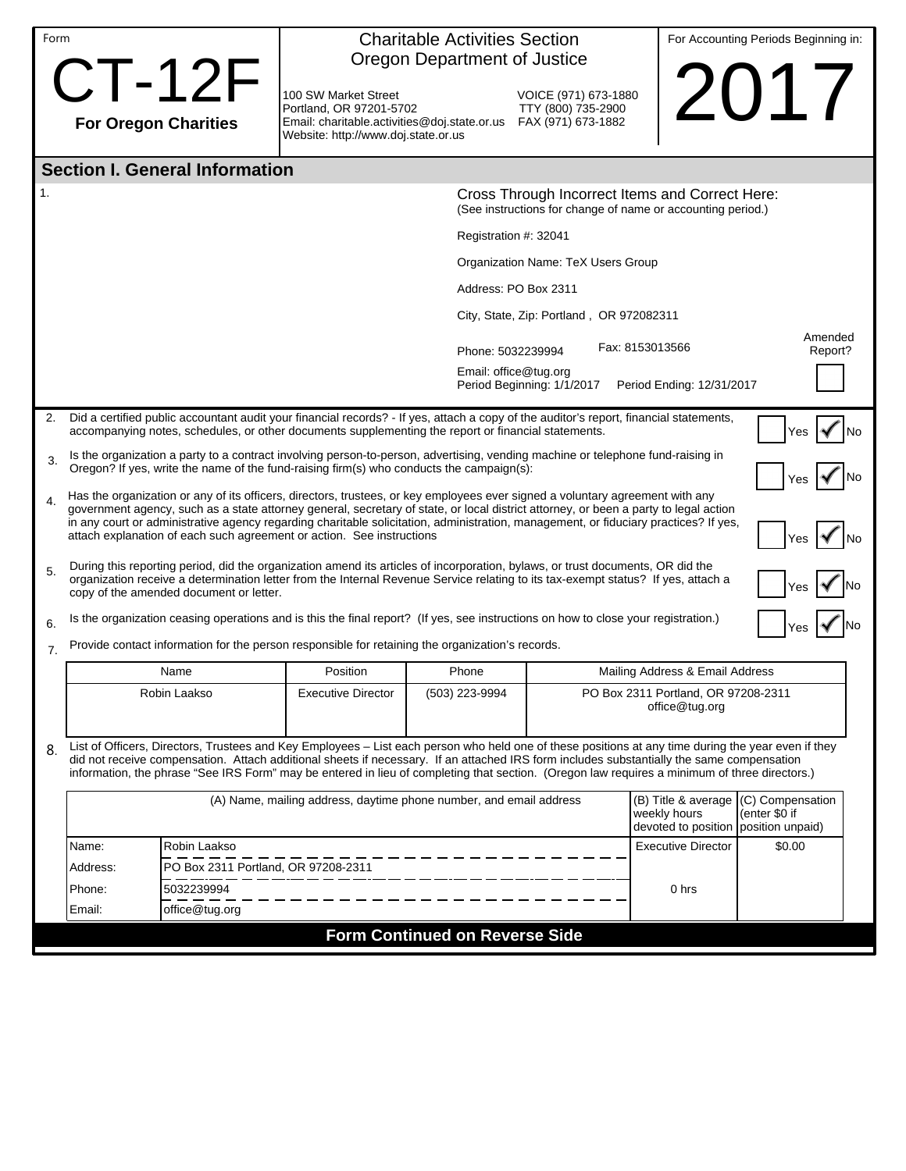|                  | Form<br><b>CT-12F</b>                                                                                                                                                                                                                                                                                                                                                                                                                                                                         |                                     | <b>Charitable Activities Section</b><br>Oregon Department of Justice                                                               |                                          |                                                                             |                                                       | For Accounting Periods Beginning in: |  |  |  |  |  |  |
|------------------|-----------------------------------------------------------------------------------------------------------------------------------------------------------------------------------------------------------------------------------------------------------------------------------------------------------------------------------------------------------------------------------------------------------------------------------------------------------------------------------------------|-------------------------------------|------------------------------------------------------------------------------------------------------------------------------------|------------------------------------------|-----------------------------------------------------------------------------|-------------------------------------------------------|--------------------------------------|--|--|--|--|--|--|
|                  |                                                                                                                                                                                                                                                                                                                                                                                                                                                                                               |                                     | 100 SW Market Street<br>Portland, OR 97201-5702                                                                                    |                                          | VOICE (971) 673-1880<br>TTY (800) 735-2900                                  |                                                       | 2017                                 |  |  |  |  |  |  |
|                  | <b>For Oregon Charities</b>                                                                                                                                                                                                                                                                                                                                                                                                                                                                   |                                     | Email: charitable.activities@doj.state.or.us FAX (971) 673-1882<br>Website: http://www.doj.state.or.us                             |                                          |                                                                             |                                                       |                                      |  |  |  |  |  |  |
|                  | <b>Section I. General Information</b>                                                                                                                                                                                                                                                                                                                                                                                                                                                         |                                     |                                                                                                                                    |                                          |                                                                             |                                                       |                                      |  |  |  |  |  |  |
| 1.               |                                                                                                                                                                                                                                                                                                                                                                                                                                                                                               |                                     | Cross Through Incorrect Items and Correct Here:<br>(See instructions for change of name or accounting period.)                     |                                          |                                                                             |                                                       |                                      |  |  |  |  |  |  |
|                  |                                                                                                                                                                                                                                                                                                                                                                                                                                                                                               |                                     | Registration #: 32041                                                                                                              |                                          |                                                                             |                                                       |                                      |  |  |  |  |  |  |
|                  |                                                                                                                                                                                                                                                                                                                                                                                                                                                                                               |                                     |                                                                                                                                    | Organization Name: TeX Users Group       |                                                                             |                                                       |                                      |  |  |  |  |  |  |
|                  |                                                                                                                                                                                                                                                                                                                                                                                                                                                                                               |                                     |                                                                                                                                    |                                          | Address: PO Box 2311                                                        |                                                       |                                      |  |  |  |  |  |  |
|                  |                                                                                                                                                                                                                                                                                                                                                                                                                                                                                               |                                     |                                                                                                                                    |                                          | City, State, Zip: Portland, OR 972082311                                    |                                                       |                                      |  |  |  |  |  |  |
|                  |                                                                                                                                                                                                                                                                                                                                                                                                                                                                                               |                                     |                                                                                                                                    | Phone: 5032239994                        | Fax: 8153013566                                                             | Amended<br>Report?                                    |                                      |  |  |  |  |  |  |
|                  |                                                                                                                                                                                                                                                                                                                                                                                                                                                                                               |                                     |                                                                                                                                    | Email: office@tug.org                    | Period Beginning: 1/1/2017                                                  | Period Ending: 12/31/2017                             |                                      |  |  |  |  |  |  |
| 2.               | Did a certified public accountant audit your financial records? - If yes, attach a copy of the auditor's report, financial statements,<br>accompanying notes, schedules, or other documents supplementing the report or financial statements.<br>Yes                                                                                                                                                                                                                                          |                                     |                                                                                                                                    |                                          |                                                                             |                                                       |                                      |  |  |  |  |  |  |
| 3.               | Is the organization a party to a contract involving person-to-person, advertising, vending machine or telephone fund-raising in<br>Oregon? If yes, write the name of the fund-raising firm(s) who conducts the campaign(s):                                                                                                                                                                                                                                                                   |                                     |                                                                                                                                    |                                          |                                                                             |                                                       |                                      |  |  |  |  |  |  |
| $\overline{4}$ . | Has the organization or any of its officers, directors, trustees, or key employees ever signed a voluntary agreement with any<br>government agency, such as a state attorney general, secretary of state, or local district attorney, or been a party to legal action<br>in any court or administrative agency regarding charitable solicitation, administration, management, or fiduciary practices? If yes,<br>attach explanation of each such agreement or action. See instructions<br>Yes |                                     |                                                                                                                                    |                                          |                                                                             |                                                       |                                      |  |  |  |  |  |  |
| 5.               | During this reporting period, did the organization amend its articles of incorporation, bylaws, or trust documents, OR did the<br>organization receive a determination letter from the Internal Revenue Service relating to its tax-exempt status? If yes, attach a<br>copy of the amended document or letter.                                                                                                                                                                                |                                     |                                                                                                                                    |                                          |                                                                             |                                                       |                                      |  |  |  |  |  |  |
| 6.               |                                                                                                                                                                                                                                                                                                                                                                                                                                                                                               |                                     | Is the organization ceasing operations and is this the final report? (If yes, see instructions on how to close your registration.) |                                          |                                                                             |                                                       |                                      |  |  |  |  |  |  |
| 7.               | Provide contact information for the person responsible for retaining the organization's records.                                                                                                                                                                                                                                                                                                                                                                                              |                                     |                                                                                                                                    |                                          |                                                                             |                                                       |                                      |  |  |  |  |  |  |
|                  | Name                                                                                                                                                                                                                                                                                                                                                                                                                                                                                          |                                     | Position                                                                                                                           | Phone<br>Mailing Address & Email Address |                                                                             |                                                       |                                      |  |  |  |  |  |  |
|                  |                                                                                                                                                                                                                                                                                                                                                                                                                                                                                               | Robin Laakso                        | <b>Executive Director</b>                                                                                                          | (503) 223-9994                           |                                                                             | PO Box 2311 Portland, OR 97208-2311<br>office@tug.org |                                      |  |  |  |  |  |  |
| 8.               | List of Officers, Directors, Trustees and Key Employees - List each person who held one of these positions at any time during the year even if they<br>did not receive compensation. Attach additional sheets if necessary. If an attached IRS form includes substantially the same compensation<br>information, the phrase "See IRS Form" may be entered in lieu of completing that section. (Oregon law requires a minimum of three directors.)                                             |                                     |                                                                                                                                    |                                          |                                                                             |                                                       |                                      |  |  |  |  |  |  |
|                  |                                                                                                                                                                                                                                                                                                                                                                                                                                                                                               |                                     | (A) Name, mailing address, daytime phone number, and email address                                                                 |                                          | (B) Title & average<br>weekly hours<br>devoted to position position unpaid) | (C) Compensation<br>(enter \$0 if                     |                                      |  |  |  |  |  |  |
|                  | Name:                                                                                                                                                                                                                                                                                                                                                                                                                                                                                         | Robin Laakso                        |                                                                                                                                    |                                          |                                                                             | <b>Executive Director</b>                             | \$0.00                               |  |  |  |  |  |  |
|                  | Address:                                                                                                                                                                                                                                                                                                                                                                                                                                                                                      | PO Box 2311 Portland, OR 97208-2311 |                                                                                                                                    |                                          |                                                                             |                                                       |                                      |  |  |  |  |  |  |
|                  | 5032239994<br>Phone:<br>Email:<br>office@tug.org                                                                                                                                                                                                                                                                                                                                                                                                                                              |                                     |                                                                                                                                    |                                          |                                                                             | 0 hrs                                                 |                                      |  |  |  |  |  |  |
|                  |                                                                                                                                                                                                                                                                                                                                                                                                                                                                                               |                                     |                                                                                                                                    | <b>Form Continued on Reverse Side</b>    |                                                                             |                                                       |                                      |  |  |  |  |  |  |